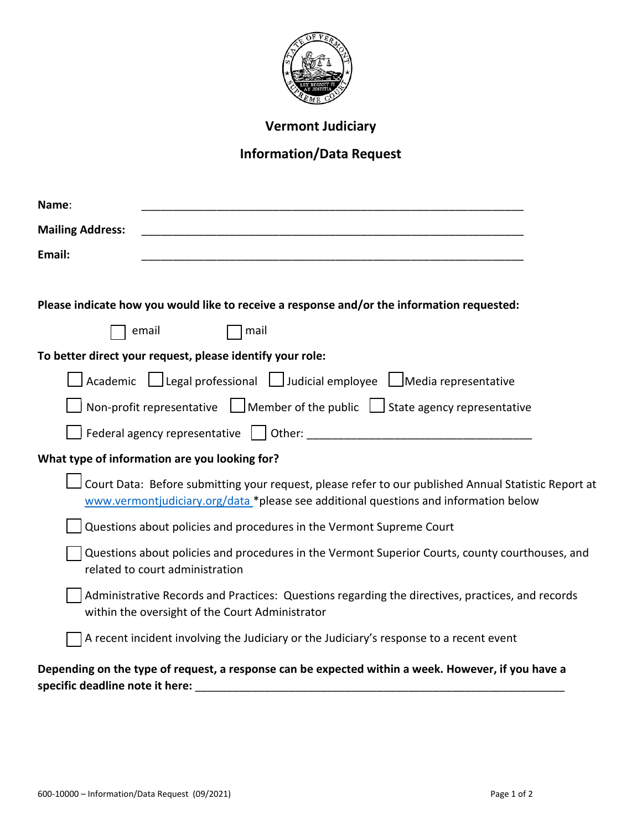

## **Vermont Judiciary**

## **Information/Data Request**

| Name:                                                                                                                                                                                        |
|----------------------------------------------------------------------------------------------------------------------------------------------------------------------------------------------|
| <b>Mailing Address:</b>                                                                                                                                                                      |
| Email:                                                                                                                                                                                       |
|                                                                                                                                                                                              |
| Please indicate how you would like to receive a response and/or the information requested:                                                                                                   |
| email<br>mail                                                                                                                                                                                |
| To better direct your request, please identify your role:                                                                                                                                    |
| Academic Llegal professional LJ Judicial employee LJMedia representative                                                                                                                     |
| Non-profit representative $\Box$ Member of the public $\Box$ State agency representative                                                                                                     |
| Federal agency representative $\vert \ \vert$ Other:                                                                                                                                         |
| What type of information are you looking for?                                                                                                                                                |
| Court Data: Before submitting your request, please refer to our published Annual Statistic Report at<br>www.vermontjudiciary.org/data *please see additional questions and information below |
| Questions about policies and procedures in the Vermont Supreme Court                                                                                                                         |
| Questions about policies and procedures in the Vermont Superior Courts, county courthouses, and<br>related to court administration                                                           |
| Administrative Records and Practices: Questions regarding the directives, practices, and records<br>within the oversight of the Court Administrator                                          |
| A recent incident involving the Judiciary or the Judiciary's response to a recent event                                                                                                      |
| Depending on the type of request, a response can be expected within a week. However, if you have a                                                                                           |
| specific deadline note it here:                                                                                                                                                              |